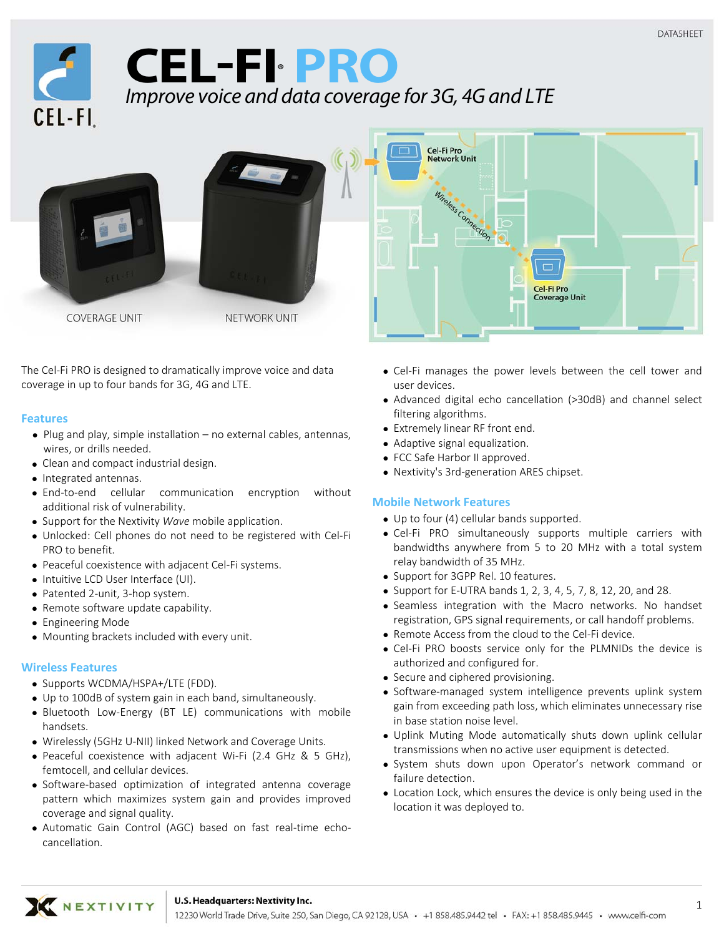

# **CEL-FI® PRO** Improve voice and data coverage for 3G, 4G and LTE



NETWORK UNIT

The Cel‐Fi PRO is designed to dramatically improve voice and data coverage in up to four bands for 3G, 4G and LTE.

# **Features**

- Plug and play, simple installation no external cables, antennas, wires, or drills needed.
- Clean and compact industrial design.
- Integrated antennas.
- End‐to‐end cellular communication encryption without additional risk of vulnerability.
- Support for the Nextivity *Wave* mobile application.
- Unlocked: Cell phones do not need to be registered with Cel‐Fi PRO to benefit.
- Peaceful coexistence with adjacent Cel-Fi systems.
- Intuitive LCD User Interface (UI).
- Patented 2-unit, 3-hop system.
- Remote software update capability.
- Engineering Mode
- Mounting brackets included with every unit.

# **Wireless Features**

- Supports WCDMA/HSPA+/LTE (FDD).
- Up to 100dB of system gain in each band, simultaneously.
- Bluetooth Low‐Energy (BT LE) communications with mobile handsets.
- Wirelessly (5GHz U‐NII) linked Network and Coverage Units.
- Peaceful coexistence with adjacent Wi-Fi (2.4 GHz & 5 GHz), femtocell, and cellular devices.
- Software‐based optimization of integrated antenna coverage pattern which maximizes system gain and provides improved coverage and signal quality.
- Automatic Gain Control (AGC) based on fast real-time echocancellation.



Cel-Fi Pro **Coverage Unit** 

- Advanced digital echo cancellation (>30dB) and channel select filtering algorithms.
- Extremely linear RF front end.
- Adaptive signal equalization.
- FCC Safe Harbor II approved.

Cel-Fi Pro Network Unit

Wineless Connection

● Nextivity's 3rd-generation ARES chipset.

# **Mobile Network Features**

- Up to four (4) cellular bands supported.
- Cel‐Fi PRO simultaneously supports multiple carriers with bandwidths anywhere from 5 to 20 MHz with a total system relay bandwidth of 35 MHz.
- Support for 3GPP Rel. 10 features.
- Support for E-UTRA bands 1, 2, 3, 4, 5, 7, 8, 12, 20, and 28.
- Seamless integration with the Macro networks. No handset registration, GPS signal requirements, or call handoff problems.
- Remote Access from the cloud to the Cel-Fi device.
- Cel-Fi PRO boosts service only for the PLMNIDs the device is authorized and configured for.
- Secure and ciphered provisioning.
- Software-managed system intelligence prevents uplink system gain from exceeding path loss, which eliminates unnecessary rise in base station noise level.
- Uplink Muting Mode automatically shuts down uplink cellular transmissions when no active user equipment is detected.
- System shuts down upon Operator's network command or failure detection.
- Location Lock, which ensures the device is only being used in the location it was deployed to.

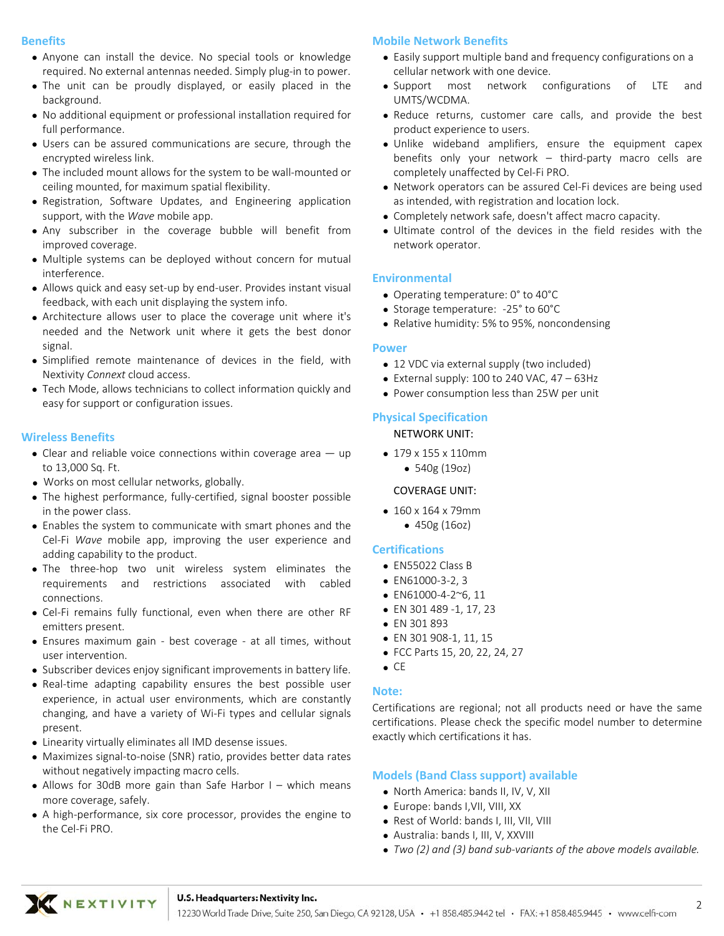#### **Benefits**

- Anyone can install the device. No special tools or knowledge required. No external antennas needed. Simply plug‐in to power.
- The unit can be proudly displayed, or easily placed in the background.
- No additional equipment or professional installation required for full performance.
- Users can be assured communications are secure, through the encrypted wireless link.
- The included mount allows for the system to be wall-mounted or ceiling mounted, for maximum spatial flexibility.
- Registration, Software Updates, and Engineering application support, with the *Wave* mobile app.
- Any subscriber in the coverage bubble will benefit from improved coverage.
- Multiple systems can be deployed without concern for mutual interference.
- Allows quick and easy set-up by end-user. Provides instant visual feedback, with each unit displaying the system info.
- Architecture allows user to place the coverage unit where it's needed and the Network unit where it gets the best donor signal.
- Simplified remote maintenance of devices in the field, with Nextivity *Connext* cloud access.
- Tech Mode, allows technicians to collect information quickly and easy for support or configuration issues.

# **Wireless Benefits**

- $\bullet$  Clear and reliable voice connections within coverage area  $-$  up to 13,000 Sq. Ft.
- Works on most cellular networks, globally.
- The highest performance, fully‐certified, signal booster possible in the power class.
- Enables the system to communicate with smart phones and the Cel‐Fi *Wave* mobile app, improving the user experience and adding capability to the product.
- The three‐hop two unit wireless system eliminates the requirements and restrictions associated with cabled connections.
- Cel‐Fi remains fully functional, even when there are other RF emitters present.
- Ensures maximum gain ‐ best coverage ‐ at all times, without user intervention.
- Subscriber devices enjoy significant improvements in battery life.
- Real-time adapting capability ensures the best possible user experience, in actual user environments, which are constantly changing, and have a variety of Wi‐Fi types and cellular signals present.
- Linearity virtually eliminates all IMD desense issues.
- Maximizes signal-to-noise (SNR) ratio, provides better data rates without negatively impacting macro cells.
- Allows for 30dB more gain than Safe Harbor I which means more coverage, safely.
- A high-performance, six core processor, provides the engine to the Cel‐Fi PRO.

#### **Mobile Network Benefits**

- Easily support multiple band and frequency configurations on a cellular network with one device.
- Support most network configurations of LTE and UMTS/WCDMA.
- Reduce returns, customer care calls, and provide the best product experience to users.
- Unlike wideband amplifiers, ensure the equipment capex benefits only your network – third‐party macro cells are completely unaffected by Cel‐Fi PRO.
- Network operators can be assured Cel-Fi devices are being used as intended, with registration and location lock.
- Completely network safe, doesn't affect macro capacity.
- Ultimate control of the devices in the field resides with the network operator.

# **Environmental**

- Operating temperature: 0° to 40°C
- Storage temperature: -25° to 60°C
- Relative humidity: 5% to 95%, noncondensing

#### **Power**

- 12 VDC via external supply (two included)
- $\bullet$  External supply: 100 to 240 VAC, 47 63Hz
- Power consumption less than 25W per unit

#### **Physical Specification**

#### NETWORK UNIT:

- 179 x 155 x 110mm
	- 540g (19oz)

#### COVERAGE UNIT:

- 160 x 164 x 79mm
	- 450g (16oz)

#### **Certifications**

- EN55022 Class B
- EN61000‐3‐2, 3
- EN61000‐4‐2~6, 11
- EN 301 489 ‐1, 17, 23
- EN 301 893
- EN 301 908‐1, 11, 15
- FCC Parts 15, 20, 22, 24, 27
- $\bullet$  CE

# **Note:**

Certifications are regional; not all products need or have the same certifications. Please check the specific model number to determine exactly which certifications it has.

#### **Models (Band Class support) available**

- North America: bands II, IV, V, XII
- Europe: bands I,VII, VIII, XX
- Rest of World: bands I, III, VII, VIII
- Australia: bands I, III, V, XXVIII
- *Two (2) and (3) band sub‐variants of the above models available.*